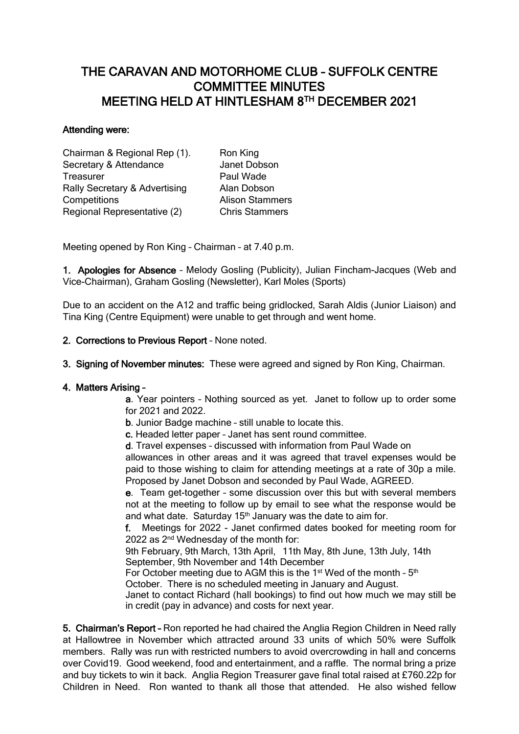# THE CARAVAN AND MOTORHOME CLUB – SUFFOLK CENTRE COMMITTEE MINUTES MEETING HELD AT HINTLESHAM 8 TH DECEMBER 2021

### Attending were:

Chairman & Regional Rep (1). Ron King Secretary & Attendance Janet Dobson Treasurer **Paul Wade** Rally Secretary & Advertising Alan Dobson **Competitions Alison Stammers** Regional Representative (2) Chris Stammers

Meeting opened by Ron King – Chairman – at 7.40 p.m.

1. Apologies for Absence – Melody Gosling (Publicity), Julian Fincham-Jacques (Web and Vice-Chairman), Graham Gosling (Newsletter), Karl Moles (Sports)

Due to an accident on the A12 and traffic being gridlocked, Sarah Aldis (Junior Liaison) and Tina King (Centre Equipment) were unable to get through and went home.

## 2. Corrections to Previous Report – None noted.

3. Signing of November minutes: These were agreed and signed by Ron King, Chairman.

#### 4. Matters Arising –

a. Year pointers – Nothing sourced as yet. Janet to follow up to order some for 2021 and 2022.

b. Junior Badge machine – still unable to locate this.

c. Headed letter paper – Janet has sent round committee.

d. Travel expenses – discussed with information from Paul Wade on

allowances in other areas and it was agreed that travel expenses would be paid to those wishing to claim for attending meetings at a rate of 30p a mile. Proposed by Janet Dobson and seconded by Paul Wade, AGREED.

e. Team get-together – some discussion over this but with several members not at the meeting to follow up by email to see what the response would be and what date. Saturday  $15<sup>th</sup>$  January was the date to aim for.

f. Meetings for 2022 - Janet confirmed dates booked for meeting room for 2022 as 2nd Wednesday of the month for:

9th February, 9th March, 13th April, 11th May, 8th June, 13th July, 14th September, 9th November and 14th December

For October meeting due to AGM this is the  $1<sup>st</sup>$  Wed of the month -  $5<sup>th</sup>$ 

October. There is no scheduled meeting in January and August.

Janet to contact Richard (hall bookings) to find out how much we may still be in credit (pay in advance) and costs for next year.

5. Chairman's Report – Ron reported he had chaired the Anglia Region Children in Need rally at Hallowtree in November which attracted around 33 units of which 50% were Suffolk members. Rally was run with restricted numbers to avoid overcrowding in hall and concerns over Covid19. Good weekend, food and entertainment, and a raffle. The normal bring a prize and buy tickets to win it back. Anglia Region Treasurer gave final total raised at £760.22p for Children in Need. Ron wanted to thank all those that attended. He also wished fellow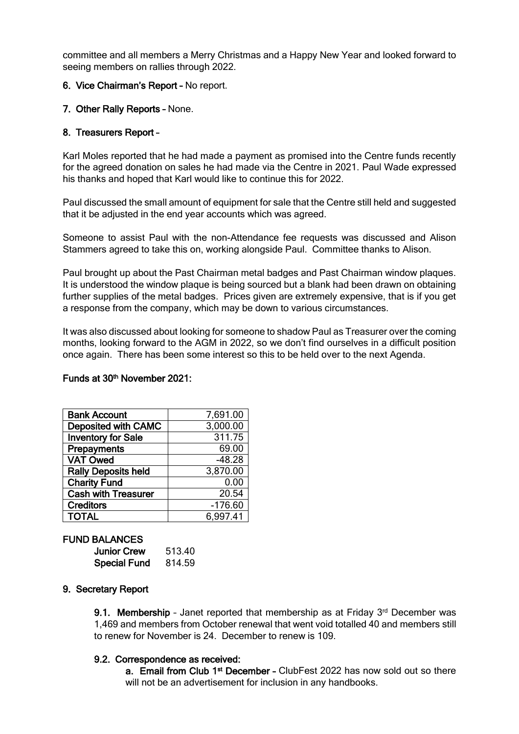committee and all members a Merry Christmas and a Happy New Year and looked forward to seeing members on rallies through 2022.

## 6. Vice Chairman's Report – No report.

### 7. Other Rally Reports – None.

### 8. Treasurers Report –

Karl Moles reported that he had made a payment as promised into the Centre funds recently for the agreed donation on sales he had made via the Centre in 2021. Paul Wade expressed his thanks and hoped that Karl would like to continue this for 2022.

Paul discussed the small amount of equipment for sale that the Centre still held and suggested that it be adjusted in the end year accounts which was agreed.

Someone to assist Paul with the non-Attendance fee requests was discussed and Alison Stammers agreed to take this on, working alongside Paul. Committee thanks to Alison.

Paul brought up about the Past Chairman metal badges and Past Chairman window plaques. It is understood the window plaque is being sourced but a blank had been drawn on obtaining further supplies of the metal badges. Prices given are extremely expensive, that is if you get a response from the company, which may be down to various circumstances.

It was also discussed about looking for someone to shadow Paul as Treasurer over the coming months, looking forward to the AGM in 2022, so we don't find ourselves in a difficult position once again. There has been some interest so this to be held over to the next Agenda.

#### Funds at 30<sup>th</sup> November 2021:

| <b>Bank Account</b>        | 7,691.00  |
|----------------------------|-----------|
| <b>Deposited with CAMC</b> | 3,000.00  |
| <b>Inventory for Sale</b>  | 311.75    |
| Prepayments                | 69.00     |
| <b>VAT Owed</b>            | $-48.28$  |
| <b>Rally Deposits held</b> | 3,870.00  |
| <b>Charity Fund</b>        | 0.00      |
| <b>Cash with Treasurer</b> | 20.54     |
| <b>Creditors</b>           | $-176.60$ |
| <b>TOTAL</b>               | 6,997.41  |

## FUND BALANCES

| <b>Junior Crew</b>  | 513.40 |
|---------------------|--------|
| <b>Special Fund</b> | 814.59 |

#### 9. Secretary Report

9.1. Membership - Janet reported that membership as at Friday 3<sup>rd</sup> December was 1,469 and members from October renewal that went void totalled 40 and members still to renew for November is 24. December to renew is 109.

#### 9.2. Correspondence as received:

a. Email from Club 1<sup>st</sup> December - ClubFest 2022 has now sold out so there will not be an advertisement for inclusion in any handbooks.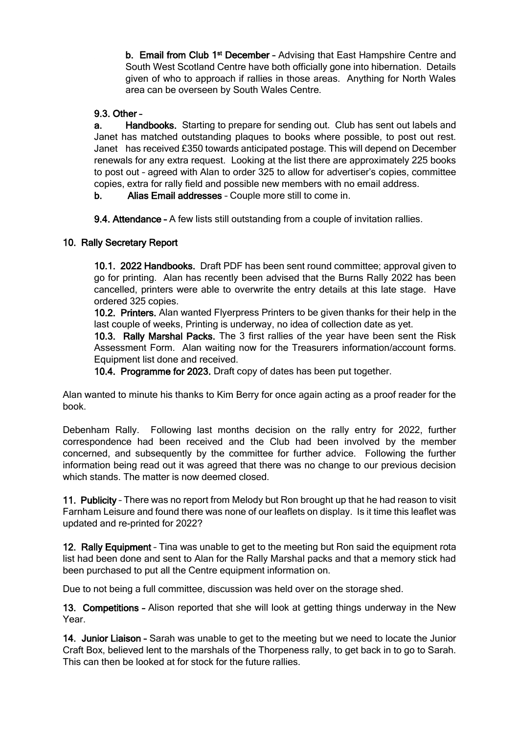**b. Email from Club 1<sup>st</sup> December -** Advising that East Hampshire Centre and South West Scotland Centre have both officially gone into hibernation. Details given of who to approach if rallies in those areas. Anything for North Wales area can be overseen by South Wales Centre.

# 9.3. Other –

 a. Handbooks. Starting to prepare for sending out. Club has sent out labels and Janet has matched outstanding plaques to books where possible, to post out rest. Janet has received £350 towards anticipated postage. This will depend on December renewals for any extra request. Looking at the list there are approximately 225 books to post out – agreed with Alan to order 325 to allow for advertiser's copies, committee copies, extra for rally field and possible new members with no email address.

b. Alias Email addresses – Couple more still to come in.

9.4. Attendance – A few lists still outstanding from a couple of invitation rallies.

# 10. Rally Secretary Report

 10.1. 2022 Handbooks. Draft PDF has been sent round committee; approval given to go for printing. Alan has recently been advised that the Burns Rally 2022 has been cancelled, printers were able to overwrite the entry details at this late stage. Have ordered 325 copies.

10.2. Printers. Alan wanted Flyerpress Printers to be given thanks for their help in the last couple of weeks, Printing is underway, no idea of collection date as yet.

 10.3. Rally Marshal Packs. The 3 first rallies of the year have been sent the Risk Assessment Form. Alan waiting now for the Treasurers information/account forms. Equipment list done and received.

10.4. Programme for 2023. Draft copy of dates has been put together.

Alan wanted to minute his thanks to Kim Berry for once again acting as a proof reader for the book.

Debenham Rally. Following last months decision on the rally entry for 2022, further correspondence had been received and the Club had been involved by the member concerned, and subsequently by the committee for further advice. Following the further information being read out it was agreed that there was no change to our previous decision which stands. The matter is now deemed closed.

11. Publicity - There was no report from Melody but Ron brought up that he had reason to visit Farnham Leisure and found there was none of our leaflets on display. Is it time this leaflet was updated and re-printed for 2022?

12. Rally Equipment – Tina was unable to get to the meeting but Ron said the equipment rota list had been done and sent to Alan for the Rally Marshal packs and that a memory stick had been purchased to put all the Centre equipment information on.

Due to not being a full committee, discussion was held over on the storage shed.

13. Competitions – Alison reported that she will look at getting things underway in the New Year.

14. Junior Liaison - Sarah was unable to get to the meeting but we need to locate the Junior Craft Box, believed lent to the marshals of the Thorpeness rally, to get back in to go to Sarah. This can then be looked at for stock for the future rallies.